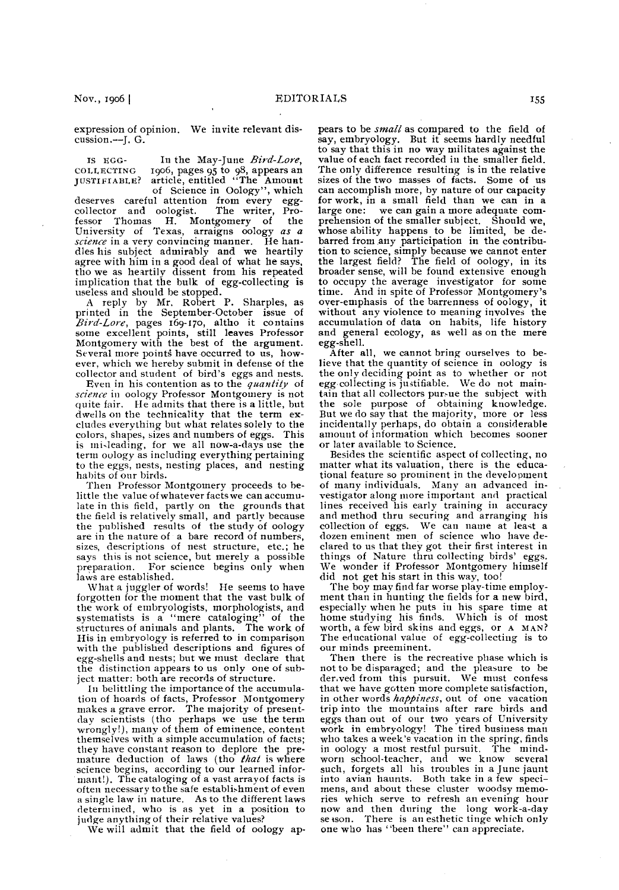**expression of opinion. We invite relevant discussion.--J. G.** 

IS EGG- In the May-June Bird-Lore, **COI.I,ECTING 19oG, pages 95 to 98, appears an JUSTIFIABLE? article, entitled "The Amount** 

**of Science in Oology", which**  deserves careful attention from every egg-collector and oologist. The writer, Procollector and oologist. **fessor Thomas H. Montgomery of the University of Texas, arraigns oology as a**  science in a very convincing manner. He han**dles his subject admirably and we heartily agree with him in a good deal of what he says, the we as heartily dissent from his repeated implication that the bulk of egg-collecting is useless and should be stopped.** 

**A reply by Mr. Robert P. Sharples, as printed in the September-October issue of Rivd-Love, pages 169-170, altho it contains some excellent points, still leaves Professor Montgomery with the best of the argument.**  Several more points have occurred to us, how**ever, which we hereby submit in defense of the**  collector and student of bird's eggs and nests.

Even in his contention as to the *quantity* of **science in oology Professor Montgomery is not quite fair. He admits that there is a little, but dwells on the technicality that the term excludes everythiug but what relates solely to the colors, shapes, sizes and numbers of eggs. This is mi.leading, for we all now-a-days use the term oology as including everything pertaining to the eggs, nests, nesting places, and nesting habits of our birds.** 

**Then Professor Montgomery proceeds to belittle the value of whatever facts we can accumulate in this field, partly on the grounds that the field is relatively small, and partly because the published results of the study of oology are in the nature of a bare record of numbers, sizes, descriptions of nest structure, etc.; he says this is not science, but merely a possible preparation. For science begins only when**  laws are established.

**\Vhat a juggler of words! He seems to have forgotten for the moment that the vast bulk of the work of embryologists, morphologists, and systematists is a "mere cataloging" of the structures of animals and plants. The work of His in embryology is referred to in comparison with the published descriptions and figures of egg-shells and nests; but we must declare that the distinction appears to us only one of subject matter: both are records of structure.** 

**In belittling the importanceof the accumulation of hoards of facts, Professor Montgomery makes a grave error. The majority of present**day scientists (tho perhaps we use the term<br>wrongly!), many of them of eminence, content **themselves with a simple accumulation of facts; they have constant reason to deplore the pre-mature deduction of laws (tho that is where**  science begins, according to our learned infor**mant!). The cataloging of a vast arrayof facts is often necessary to the safe establishment of even a single law in nature. As to the different laws determined, who is as yet in a position to judge anything of their relative values?** 

**We will admit that the field of oology ap-**

pears to be *small* as compared to the field of **say, embryology. But it seems hardly needful to say that this in no way militates against the value of each fact recorded in the smaller field. The only difference resulting is in the relative sizes of the two masses of facts. Some of us can accomplish more, by nature of our capacity for work, in a small field than we can in a large one: we can gain a more adequate comprehension of the smaller subject. Should we, whose ability happens to be limited, be de**barred from any participation in the contribu**tion to science, simply because we cannot enter the largest field? The field of oology, in its broader sense, will be found extensive enough to occupy the average investigator for some time. And in spite of Professor Montgomerys ' over-emphasis of the barrenness of oology, it without any violence to meaning involves: the accumulation of data on habits, life history and general ecology, as well as on the mere egg-shell.** 

**After all, we cannot bring ourselves to believe that the quantity of science in oology is the only deciding point as to whether or not egg-collecting is justifiable. We do not maintain that all collectors pur-ue the subject with the sole purpose of obtaining knowledge. But we do say that the majority, more or less incidentally perhaps, do obtain a considerable amouut of information which becomes sooner or later available to Science.** 

**Besides the scientific aspect of collecting, no matter what its valuation, there is the educa**tional feature so prominent in the development **of many individuals. Many an advanced investigator along more important and practical lines received his early training in accuracy and method thru securing and arranging his**  collection of eggs. We can name at least a **dozen eminent men of science who have declared to us that they got their first interest in things of Nature thru collecting birds' eggs. We wonder if Professor Montgomery himself did not get his start in this way, too!** 

**The boy may find far worse play-time employment than in hunting the fields for a new hird, especially when he puts iu his spare time at**  home studying his finds. Which is of most **worth, a few bird skins and eggs, or A MAN? The educational value of egg-collecting is to our minds preeminent.** 

**Then there is the recreative phase which is not to be disparaged; and the pleasure to be derived from this pursuit. We must confess that we have gotten more complete satisfaction,**  in other words happiness, out of one vacation **trip into the mountains after rare birds and eggs than out of our two years of University work in embryology! The tired business man**  who takes a week's vacation in the spring, finds **in oology a most restful pursuit. The mind-worn school-teacher, and we know several**  such, forgets all his troubles in a June jaunt **into avian haunts. Both take in a few specimens, and about these cluster woodsy memories which serve to refresh an evening hour now and then during the long work-a-day season. There is an esthetic tinge which only one who has "been there" can appreciate.**